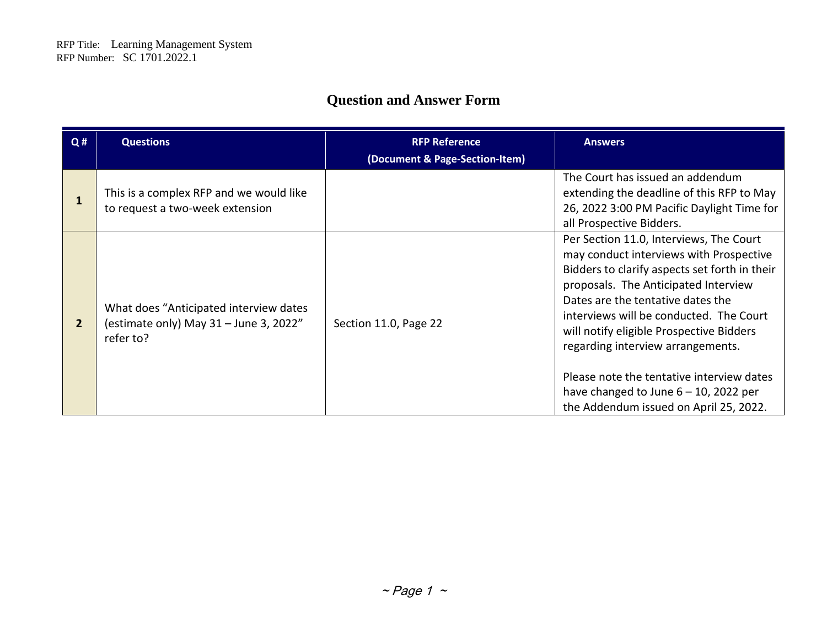# **Question and Answer Form**

| Q#             | <b>Questions</b>                                                                              | <b>RFP Reference</b><br>(Document & Page-Section-Item) | <b>Answers</b>                                                                                                                                                                                                                                                                                                                                                                                                                                                                  |
|----------------|-----------------------------------------------------------------------------------------------|--------------------------------------------------------|---------------------------------------------------------------------------------------------------------------------------------------------------------------------------------------------------------------------------------------------------------------------------------------------------------------------------------------------------------------------------------------------------------------------------------------------------------------------------------|
|                | This is a complex RFP and we would like<br>to request a two-week extension                    |                                                        | The Court has issued an addendum<br>extending the deadline of this RFP to May<br>26, 2022 3:00 PM Pacific Daylight Time for<br>all Prospective Bidders.                                                                                                                                                                                                                                                                                                                         |
| $\overline{2}$ | What does "Anticipated interview dates<br>(estimate only) May 31 - June 3, 2022"<br>refer to? | Section 11.0, Page 22                                  | Per Section 11.0, Interviews, The Court<br>may conduct interviews with Prospective<br>Bidders to clarify aspects set forth in their<br>proposals. The Anticipated Interview<br>Dates are the tentative dates the<br>interviews will be conducted. The Court<br>will notify eligible Prospective Bidders<br>regarding interview arrangements.<br>Please note the tentative interview dates<br>have changed to June $6 - 10$ , 2022 per<br>the Addendum issued on April 25, 2022. |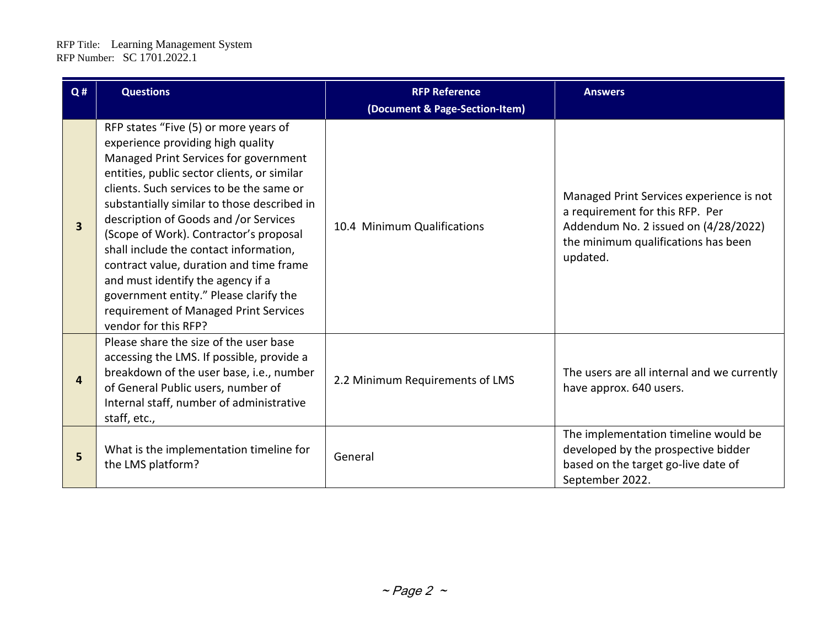| Q#                      | <b>Questions</b>                                                                                                                                                                                                                                                                                                                                                                                                                                                                                                                                                                      | <b>RFP Reference</b>            | <b>Answers</b>                                                                                                                                                         |
|-------------------------|---------------------------------------------------------------------------------------------------------------------------------------------------------------------------------------------------------------------------------------------------------------------------------------------------------------------------------------------------------------------------------------------------------------------------------------------------------------------------------------------------------------------------------------------------------------------------------------|---------------------------------|------------------------------------------------------------------------------------------------------------------------------------------------------------------------|
|                         |                                                                                                                                                                                                                                                                                                                                                                                                                                                                                                                                                                                       | (Document & Page-Section-Item)  |                                                                                                                                                                        |
| $\overline{\mathbf{3}}$ | RFP states "Five (5) or more years of<br>experience providing high quality<br>Managed Print Services for government<br>entities, public sector clients, or similar<br>clients. Such services to be the same or<br>substantially similar to those described in<br>description of Goods and /or Services<br>(Scope of Work). Contractor's proposal<br>shall include the contact information,<br>contract value, duration and time frame<br>and must identify the agency if a<br>government entity." Please clarify the<br>requirement of Managed Print Services<br>vendor for this RFP? | 10.4 Minimum Qualifications     | Managed Print Services experience is not<br>a requirement for this RFP. Per<br>Addendum No. 2 issued on (4/28/2022)<br>the minimum qualifications has been<br>updated. |
| 4                       | Please share the size of the user base<br>accessing the LMS. If possible, provide a<br>breakdown of the user base, i.e., number<br>of General Public users, number of<br>Internal staff, number of administrative<br>staff, etc.,                                                                                                                                                                                                                                                                                                                                                     | 2.2 Minimum Requirements of LMS | The users are all internal and we currently<br>have approx. 640 users.                                                                                                 |
| 5                       | What is the implementation timeline for<br>the LMS platform?                                                                                                                                                                                                                                                                                                                                                                                                                                                                                                                          | General                         | The implementation timeline would be<br>developed by the prospective bidder<br>based on the target go-live date of<br>September 2022.                                  |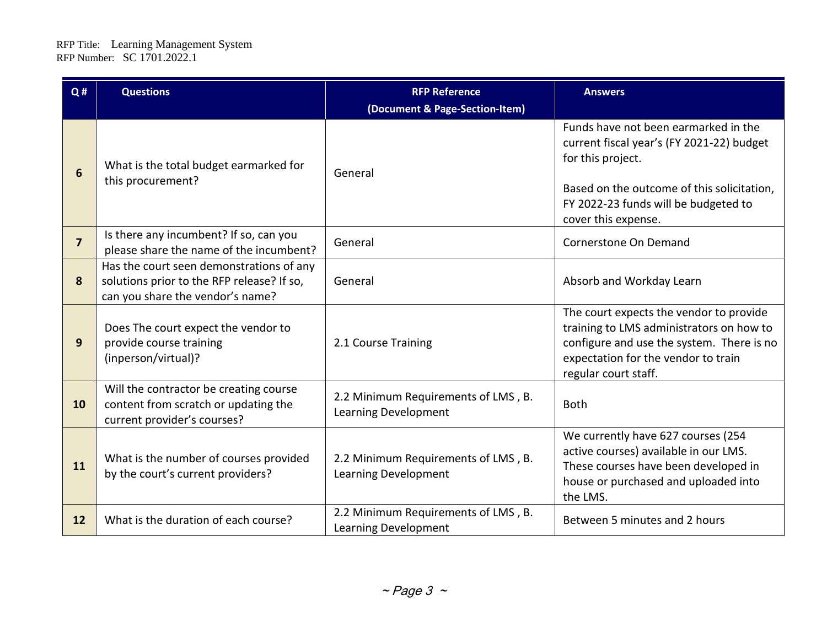| Q#             | <b>Questions</b>                                                                                                           | <b>RFP Reference</b><br>(Document & Page-Section-Item)             | <b>Answers</b>                                                                                                                                                                                                      |
|----------------|----------------------------------------------------------------------------------------------------------------------------|--------------------------------------------------------------------|---------------------------------------------------------------------------------------------------------------------------------------------------------------------------------------------------------------------|
| 6              | What is the total budget earmarked for<br>this procurement?                                                                | General                                                            | Funds have not been earmarked in the<br>current fiscal year's (FY 2021-22) budget<br>for this project.<br>Based on the outcome of this solicitation,<br>FY 2022-23 funds will be budgeted to<br>cover this expense. |
| $\overline{7}$ | Is there any incumbent? If so, can you<br>please share the name of the incumbent?                                          | General                                                            | Cornerstone On Demand                                                                                                                                                                                               |
| 8              | Has the court seen demonstrations of any<br>solutions prior to the RFP release? If so,<br>can you share the vendor's name? | General                                                            | Absorb and Workday Learn                                                                                                                                                                                            |
| 9              | Does The court expect the vendor to<br>provide course training<br>(inperson/virtual)?                                      | 2.1 Course Training                                                | The court expects the vendor to provide<br>training to LMS administrators on how to<br>configure and use the system. There is no<br>expectation for the vendor to train<br>regular court staff.                     |
| 10             | Will the contractor be creating course<br>content from scratch or updating the<br>current provider's courses?              | 2.2 Minimum Requirements of LMS, B.<br><b>Learning Development</b> | <b>Both</b>                                                                                                                                                                                                         |
| 11             | What is the number of courses provided<br>by the court's current providers?                                                | 2.2 Minimum Requirements of LMS, B.<br><b>Learning Development</b> | We currently have 627 courses (254<br>active courses) available in our LMS.<br>These courses have been developed in<br>house or purchased and uploaded into<br>the LMS.                                             |
| 12             | What is the duration of each course?                                                                                       | 2.2 Minimum Requirements of LMS, B.<br><b>Learning Development</b> | Between 5 minutes and 2 hours                                                                                                                                                                                       |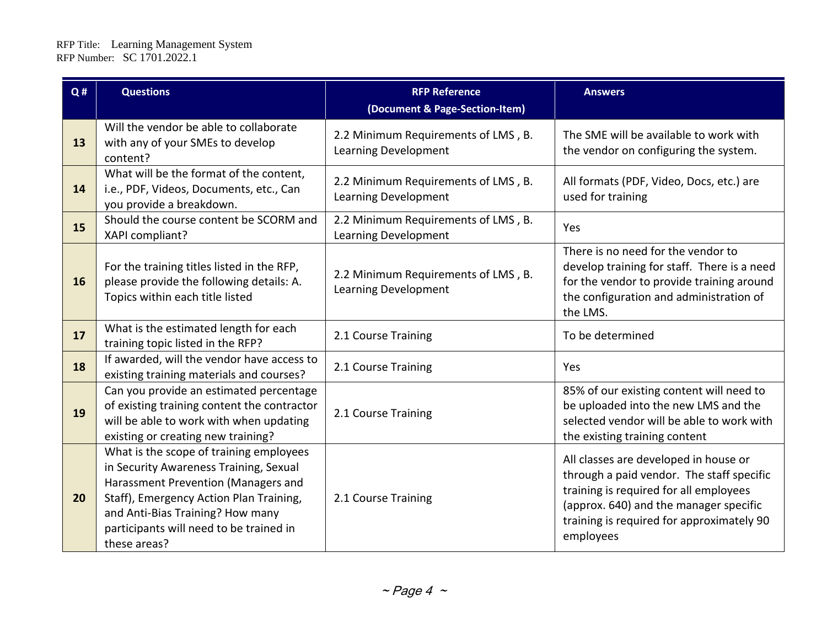| Q# | <b>Questions</b>                                                                                                                                                                                                                                                   | <b>RFP Reference</b><br>(Document & Page-Section-Item)             | <b>Answers</b>                                                                                                                                                                                                                   |
|----|--------------------------------------------------------------------------------------------------------------------------------------------------------------------------------------------------------------------------------------------------------------------|--------------------------------------------------------------------|----------------------------------------------------------------------------------------------------------------------------------------------------------------------------------------------------------------------------------|
| 13 | Will the vendor be able to collaborate<br>with any of your SMEs to develop<br>content?                                                                                                                                                                             | 2.2 Minimum Requirements of LMS, B.<br><b>Learning Development</b> | The SME will be available to work with<br>the vendor on configuring the system.                                                                                                                                                  |
| 14 | What will be the format of the content,<br>i.e., PDF, Videos, Documents, etc., Can<br>you provide a breakdown.                                                                                                                                                     | 2.2 Minimum Requirements of LMS, B.<br><b>Learning Development</b> | All formats (PDF, Video, Docs, etc.) are<br>used for training                                                                                                                                                                    |
| 15 | Should the course content be SCORM and<br>XAPI compliant?                                                                                                                                                                                                          | 2.2 Minimum Requirements of LMS, B.<br><b>Learning Development</b> | Yes                                                                                                                                                                                                                              |
| 16 | For the training titles listed in the RFP,<br>please provide the following details: A.<br>Topics within each title listed                                                                                                                                          | 2.2 Minimum Requirements of LMS, B.<br><b>Learning Development</b> | There is no need for the vendor to<br>develop training for staff. There is a need<br>for the vendor to provide training around<br>the configuration and administration of<br>the LMS.                                            |
| 17 | What is the estimated length for each<br>training topic listed in the RFP?                                                                                                                                                                                         | 2.1 Course Training                                                | To be determined                                                                                                                                                                                                                 |
| 18 | If awarded, will the vendor have access to<br>existing training materials and courses?                                                                                                                                                                             | 2.1 Course Training                                                | Yes                                                                                                                                                                                                                              |
| 19 | Can you provide an estimated percentage<br>of existing training content the contractor<br>will be able to work with when updating<br>existing or creating new training?                                                                                            | 2.1 Course Training                                                | 85% of our existing content will need to<br>be uploaded into the new LMS and the<br>selected vendor will be able to work with<br>the existing training content                                                                   |
| 20 | What is the scope of training employees<br>in Security Awareness Training, Sexual<br>Harassment Prevention (Managers and<br>Staff), Emergency Action Plan Training,<br>and Anti-Bias Training? How many<br>participants will need to be trained in<br>these areas? | 2.1 Course Training                                                | All classes are developed in house or<br>through a paid vendor. The staff specific<br>training is required for all employees<br>(approx. 640) and the manager specific<br>training is required for approximately 90<br>employees |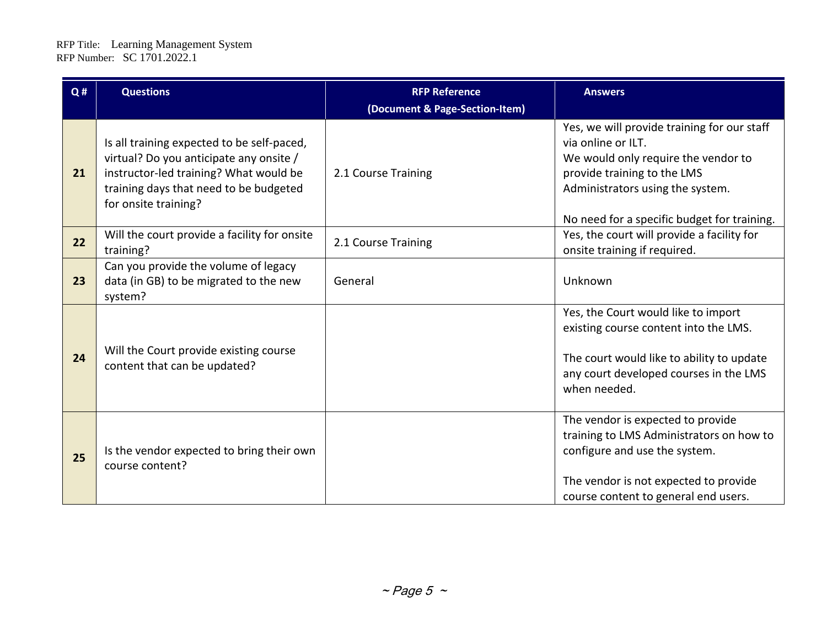| Q# | <b>Questions</b>                                                                                                                                                                                  | <b>RFP Reference</b>           | <b>Answers</b>                                                                                                                                                                                                             |
|----|---------------------------------------------------------------------------------------------------------------------------------------------------------------------------------------------------|--------------------------------|----------------------------------------------------------------------------------------------------------------------------------------------------------------------------------------------------------------------------|
|    |                                                                                                                                                                                                   | (Document & Page-Section-Item) |                                                                                                                                                                                                                            |
| 21 | Is all training expected to be self-paced,<br>virtual? Do you anticipate any onsite /<br>instructor-led training? What would be<br>training days that need to be budgeted<br>for onsite training? | 2.1 Course Training            | Yes, we will provide training for our staff<br>via online or ILT.<br>We would only require the vendor to<br>provide training to the LMS<br>Administrators using the system.<br>No need for a specific budget for training. |
| 22 | Will the court provide a facility for onsite<br>training?                                                                                                                                         | 2.1 Course Training            | Yes, the court will provide a facility for<br>onsite training if required.                                                                                                                                                 |
| 23 | Can you provide the volume of legacy<br>data (in GB) to be migrated to the new<br>system?                                                                                                         | General                        | Unknown                                                                                                                                                                                                                    |
| 24 | Will the Court provide existing course<br>content that can be updated?                                                                                                                            |                                | Yes, the Court would like to import<br>existing course content into the LMS.<br>The court would like to ability to update<br>any court developed courses in the LMS<br>when needed.                                        |
| 25 | Is the vendor expected to bring their own<br>course content?                                                                                                                                      |                                | The vendor is expected to provide<br>training to LMS Administrators on how to<br>configure and use the system.<br>The vendor is not expected to provide<br>course content to general end users.                            |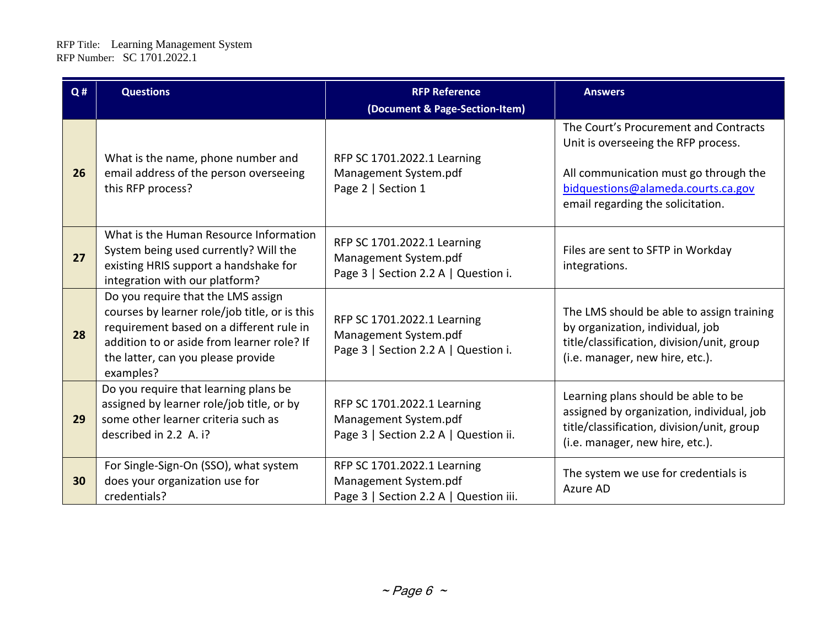| Q# | <b>Questions</b>                                                                                                                                                                                                                 | <b>RFP Reference</b>                                                                           | <b>Answers</b>                                                                                                                                                                                   |
|----|----------------------------------------------------------------------------------------------------------------------------------------------------------------------------------------------------------------------------------|------------------------------------------------------------------------------------------------|--------------------------------------------------------------------------------------------------------------------------------------------------------------------------------------------------|
|    |                                                                                                                                                                                                                                  | (Document & Page-Section-Item)                                                                 |                                                                                                                                                                                                  |
| 26 | What is the name, phone number and<br>email address of the person overseeing<br>this RFP process?                                                                                                                                | RFP SC 1701.2022.1 Learning<br>Management System.pdf<br>Page 2   Section 1                     | The Court's Procurement and Contracts<br>Unit is overseeing the RFP process.<br>All communication must go through the<br>bidquestions@alameda.courts.ca.gov<br>email regarding the solicitation. |
| 27 | What is the Human Resource Information<br>System being used currently? Will the<br>existing HRIS support a handshake for<br>integration with our platform?                                                                       | RFP SC 1701.2022.1 Learning<br>Management System.pdf<br>Page 3   Section 2.2 A   Question i.   | Files are sent to SFTP in Workday<br>integrations.                                                                                                                                               |
| 28 | Do you require that the LMS assign<br>courses by learner role/job title, or is this<br>requirement based on a different rule in<br>addition to or aside from learner role? If<br>the latter, can you please provide<br>examples? | RFP SC 1701.2022.1 Learning<br>Management System.pdf<br>Page 3   Section 2.2 A   Question i.   | The LMS should be able to assign training<br>by organization, individual, job<br>title/classification, division/unit, group<br>(i.e. manager, new hire, etc.).                                   |
| 29 | Do you require that learning plans be<br>assigned by learner role/job title, or by<br>some other learner criteria such as<br>described in 2.2 A. i?                                                                              | RFP SC 1701.2022.1 Learning<br>Management System.pdf<br>Page 3   Section 2.2 A   Question ii.  | Learning plans should be able to be<br>assigned by organization, individual, job<br>title/classification, division/unit, group<br>(i.e. manager, new hire, etc.).                                |
| 30 | For Single-Sign-On (SSO), what system<br>does your organization use for<br>credentials?                                                                                                                                          | RFP SC 1701.2022.1 Learning<br>Management System.pdf<br>Page 3   Section 2.2 A   Question iii. | The system we use for credentials is<br>Azure AD                                                                                                                                                 |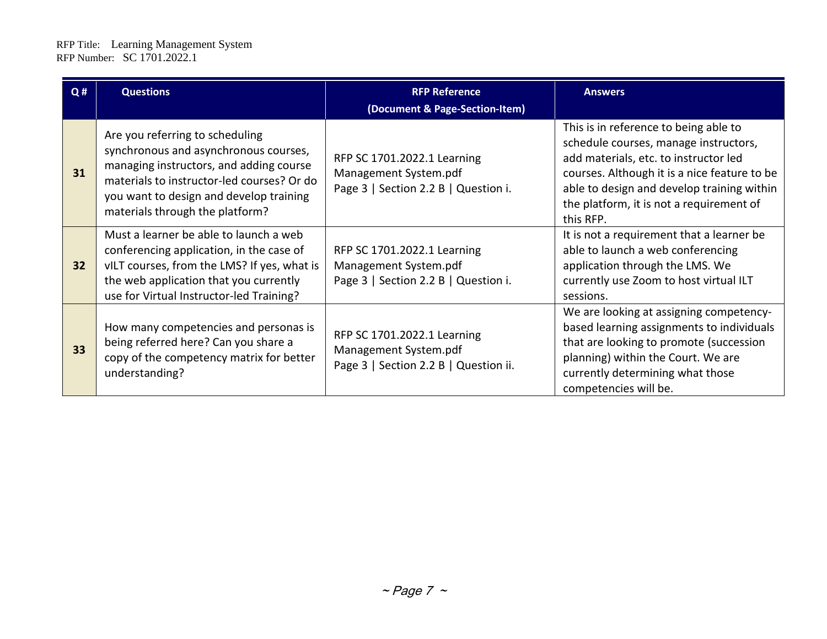| Q# | <b>Questions</b>                                                                                                                                                                                                                                | <b>RFP Reference</b>                                                                          | <b>Answers</b>                                                                                                                                                                                                                                                                 |
|----|-------------------------------------------------------------------------------------------------------------------------------------------------------------------------------------------------------------------------------------------------|-----------------------------------------------------------------------------------------------|--------------------------------------------------------------------------------------------------------------------------------------------------------------------------------------------------------------------------------------------------------------------------------|
|    |                                                                                                                                                                                                                                                 | (Document & Page-Section-Item)                                                                |                                                                                                                                                                                                                                                                                |
| 31 | Are you referring to scheduling<br>synchronous and asynchronous courses,<br>managing instructors, and adding course<br>materials to instructor-led courses? Or do<br>you want to design and develop training<br>materials through the platform? | RFP SC 1701.2022.1 Learning<br>Management System.pdf<br>Page 3   Section 2.2 B   Question i.  | This is in reference to being able to<br>schedule courses, manage instructors,<br>add materials, etc. to instructor led<br>courses. Although it is a nice feature to be<br>able to design and develop training within<br>the platform, it is not a requirement of<br>this RFP. |
| 32 | Must a learner be able to launch a web<br>conferencing application, in the case of<br>vILT courses, from the LMS? If yes, what is<br>the web application that you currently<br>use for Virtual Instructor-led Training?                         | RFP SC 1701.2022.1 Learning<br>Management System.pdf<br>Page 3   Section 2.2 B   Question i.  | It is not a requirement that a learner be<br>able to launch a web conferencing<br>application through the LMS. We<br>currently use Zoom to host virtual ILT<br>sessions.                                                                                                       |
| 33 | How many competencies and personas is<br>being referred here? Can you share a<br>copy of the competency matrix for better<br>understanding?                                                                                                     | RFP SC 1701.2022.1 Learning<br>Management System.pdf<br>Page 3   Section 2.2 B   Question ii. | We are looking at assigning competency-<br>based learning assignments to individuals<br>that are looking to promote (succession<br>planning) within the Court. We are<br>currently determining what those<br>competencies will be.                                             |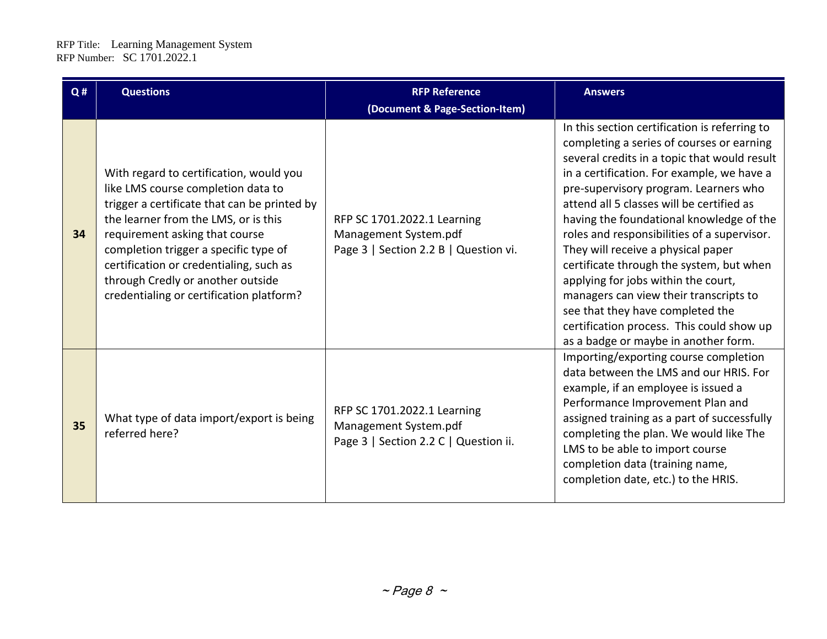| Q# | <b>Questions</b>                                                                                                                                                                                                                                                                                                                                                             | <b>RFP Reference</b>                                                                          | <b>Answers</b>                                                                                                                                                                                                                                                                                                                                                                                                                                                                                                                                                                                                                                                        |
|----|------------------------------------------------------------------------------------------------------------------------------------------------------------------------------------------------------------------------------------------------------------------------------------------------------------------------------------------------------------------------------|-----------------------------------------------------------------------------------------------|-----------------------------------------------------------------------------------------------------------------------------------------------------------------------------------------------------------------------------------------------------------------------------------------------------------------------------------------------------------------------------------------------------------------------------------------------------------------------------------------------------------------------------------------------------------------------------------------------------------------------------------------------------------------------|
|    |                                                                                                                                                                                                                                                                                                                                                                              | (Document & Page-Section-Item)                                                                |                                                                                                                                                                                                                                                                                                                                                                                                                                                                                                                                                                                                                                                                       |
| 34 | With regard to certification, would you<br>like LMS course completion data to<br>trigger a certificate that can be printed by<br>the learner from the LMS, or is this<br>requirement asking that course<br>completion trigger a specific type of<br>certification or credentialing, such as<br>through Credly or another outside<br>credentialing or certification platform? | RFP SC 1701.2022.1 Learning<br>Management System.pdf<br>Page 3   Section 2.2 B   Question vi. | In this section certification is referring to<br>completing a series of courses or earning<br>several credits in a topic that would result<br>in a certification. For example, we have a<br>pre-supervisory program. Learners who<br>attend all 5 classes will be certified as<br>having the foundational knowledge of the<br>roles and responsibilities of a supervisor.<br>They will receive a physical paper<br>certificate through the system, but when<br>applying for jobs within the court,<br>managers can view their transcripts to<br>see that they have completed the<br>certification process. This could show up<br>as a badge or maybe in another form. |
| 35 | What type of data import/export is being<br>referred here?                                                                                                                                                                                                                                                                                                                   | RFP SC 1701.2022.1 Learning<br>Management System.pdf<br>Page 3   Section 2.2 C   Question ii. | Importing/exporting course completion<br>data between the LMS and our HRIS. For<br>example, if an employee is issued a<br>Performance Improvement Plan and<br>assigned training as a part of successfully<br>completing the plan. We would like The<br>LMS to be able to import course<br>completion data (training name,<br>completion date, etc.) to the HRIS.                                                                                                                                                                                                                                                                                                      |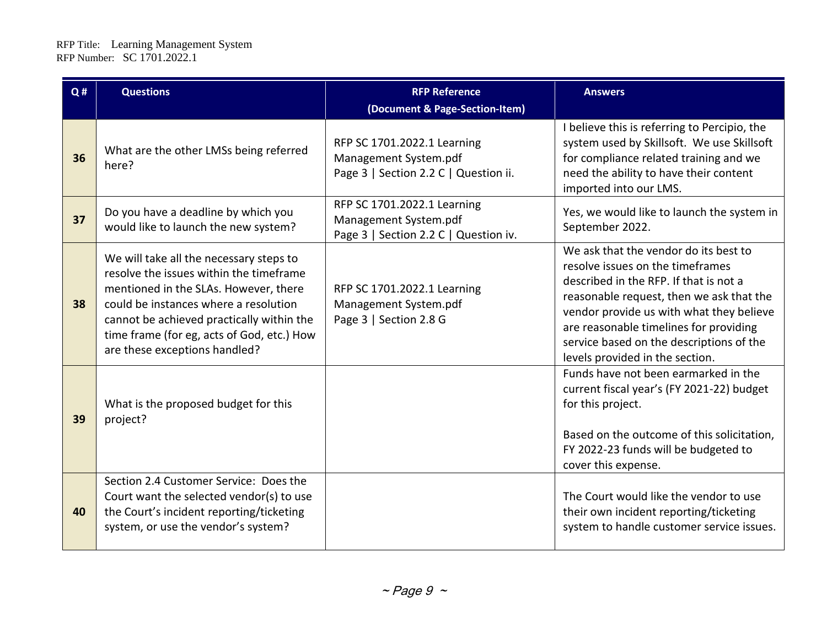| Q# | <b>Questions</b>                                                                                                                                                                                                                                                                                 | <b>RFP Reference</b><br>(Document & Page-Section-Item)                                        | <b>Answers</b>                                                                                                                                                                                                                                                                                                                       |
|----|--------------------------------------------------------------------------------------------------------------------------------------------------------------------------------------------------------------------------------------------------------------------------------------------------|-----------------------------------------------------------------------------------------------|--------------------------------------------------------------------------------------------------------------------------------------------------------------------------------------------------------------------------------------------------------------------------------------------------------------------------------------|
| 36 | What are the other LMSs being referred<br>here?                                                                                                                                                                                                                                                  | RFP SC 1701.2022.1 Learning<br>Management System.pdf<br>Page 3   Section 2.2 C   Question ii. | I believe this is referring to Percipio, the<br>system used by Skillsoft. We use Skillsoft<br>for compliance related training and we<br>need the ability to have their content<br>imported into our LMS.                                                                                                                             |
| 37 | Do you have a deadline by which you<br>would like to launch the new system?                                                                                                                                                                                                                      | RFP SC 1701.2022.1 Learning<br>Management System.pdf<br>Page 3   Section 2.2 C   Question iv. | Yes, we would like to launch the system in<br>September 2022.                                                                                                                                                                                                                                                                        |
| 38 | We will take all the necessary steps to<br>resolve the issues within the timeframe<br>mentioned in the SLAs. However, there<br>could be instances where a resolution<br>cannot be achieved practically within the<br>time frame (for eg, acts of God, etc.) How<br>are these exceptions handled? | RFP SC 1701.2022.1 Learning<br>Management System.pdf<br>Page 3   Section 2.8 G                | We ask that the vendor do its best to<br>resolve issues on the timeframes<br>described in the RFP. If that is not a<br>reasonable request, then we ask that the<br>vendor provide us with what they believe<br>are reasonable timelines for providing<br>service based on the descriptions of the<br>levels provided in the section. |
| 39 | What is the proposed budget for this<br>project?                                                                                                                                                                                                                                                 |                                                                                               | Funds have not been earmarked in the<br>current fiscal year's (FY 2021-22) budget<br>for this project.<br>Based on the outcome of this solicitation,<br>FY 2022-23 funds will be budgeted to<br>cover this expense.                                                                                                                  |
| 40 | Section 2.4 Customer Service: Does the<br>Court want the selected vendor(s) to use<br>the Court's incident reporting/ticketing<br>system, or use the vendor's system?                                                                                                                            |                                                                                               | The Court would like the vendor to use<br>their own incident reporting/ticketing<br>system to handle customer service issues.                                                                                                                                                                                                        |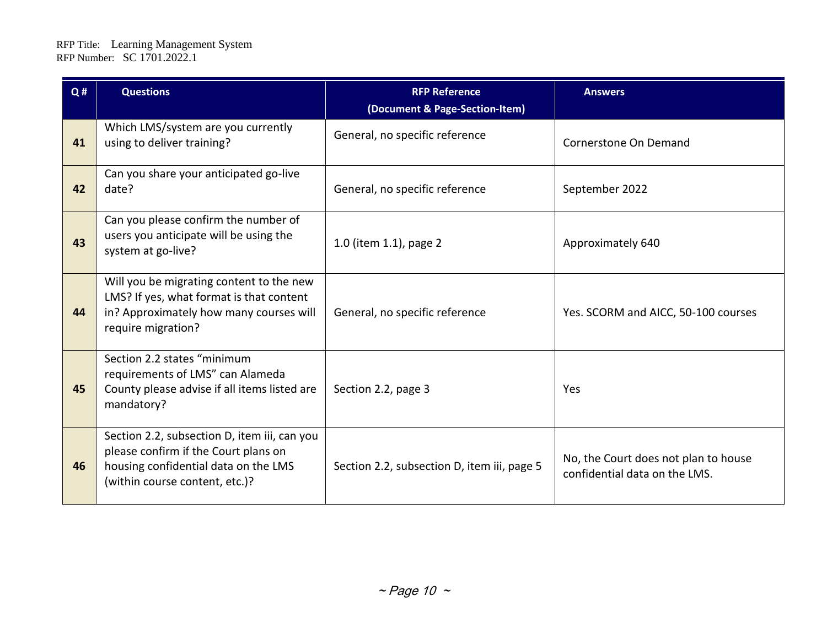| Q# | <b>Questions</b>                                                                                                                                               | <b>RFP Reference</b><br>(Document & Page-Section-Item) | <b>Answers</b>                                                        |
|----|----------------------------------------------------------------------------------------------------------------------------------------------------------------|--------------------------------------------------------|-----------------------------------------------------------------------|
| 41 | Which LMS/system are you currently<br>using to deliver training?                                                                                               | General, no specific reference                         | Cornerstone On Demand                                                 |
| 42 | Can you share your anticipated go-live<br>date?                                                                                                                | General, no specific reference                         | September 2022                                                        |
| 43 | Can you please confirm the number of<br>users you anticipate will be using the<br>system at go-live?                                                           | 1.0 (item 1.1), page 2                                 | Approximately 640                                                     |
| 44 | Will you be migrating content to the new<br>LMS? If yes, what format is that content<br>in? Approximately how many courses will<br>require migration?          | General, no specific reference                         | Yes. SCORM and AICC, 50-100 courses                                   |
| 45 | Section 2.2 states "minimum<br>requirements of LMS" can Alameda<br>County please advise if all items listed are<br>mandatory?                                  | Section 2.2, page 3                                    | Yes                                                                   |
| 46 | Section 2.2, subsection D, item iii, can you<br>please confirm if the Court plans on<br>housing confidential data on the LMS<br>(within course content, etc.)? | Section 2.2, subsection D, item iii, page 5            | No, the Court does not plan to house<br>confidential data on the LMS. |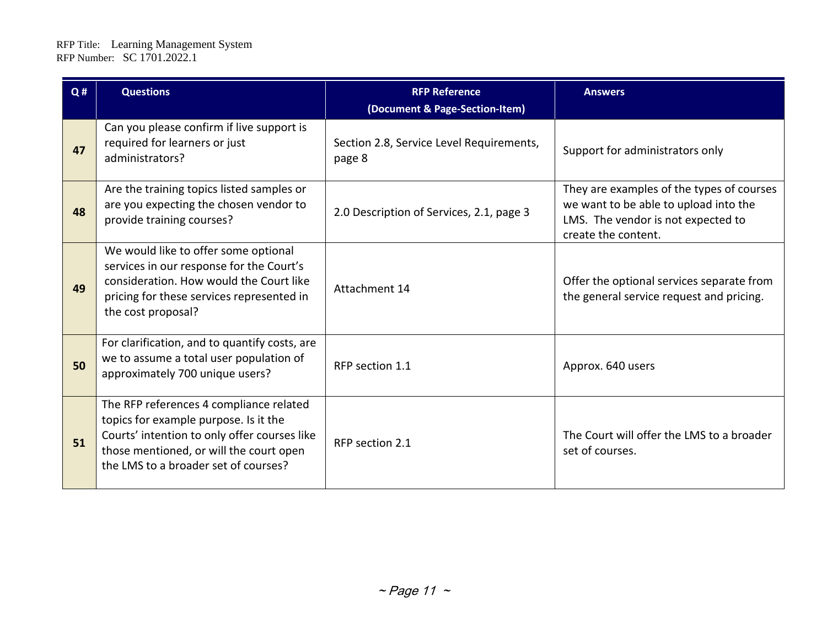| Q# | <b>Questions</b>                                                                                                                                                                                                    | <b>RFP Reference</b><br>(Document & Page-Section-Item) | <b>Answers</b>                                                                                                                                  |
|----|---------------------------------------------------------------------------------------------------------------------------------------------------------------------------------------------------------------------|--------------------------------------------------------|-------------------------------------------------------------------------------------------------------------------------------------------------|
| 47 | Can you please confirm if live support is<br>required for learners or just<br>administrators?                                                                                                                       | Section 2.8, Service Level Requirements,<br>page 8     | Support for administrators only                                                                                                                 |
| 48 | Are the training topics listed samples or<br>are you expecting the chosen vendor to<br>provide training courses?                                                                                                    | 2.0 Description of Services, 2.1, page 3               | They are examples of the types of courses<br>we want to be able to upload into the<br>LMS. The vendor is not expected to<br>create the content. |
| 49 | We would like to offer some optional<br>services in our response for the Court's<br>consideration. How would the Court like<br>pricing for these services represented in<br>the cost proposal?                      | Attachment 14                                          | Offer the optional services separate from<br>the general service request and pricing.                                                           |
| 50 | For clarification, and to quantify costs, are<br>we to assume a total user population of<br>approximately 700 unique users?                                                                                         | RFP section 1.1                                        | Approx. 640 users                                                                                                                               |
| 51 | The RFP references 4 compliance related<br>topics for example purpose. Is it the<br>Courts' intention to only offer courses like<br>those mentioned, or will the court open<br>the LMS to a broader set of courses? | RFP section 2.1                                        | The Court will offer the LMS to a broader<br>set of courses.                                                                                    |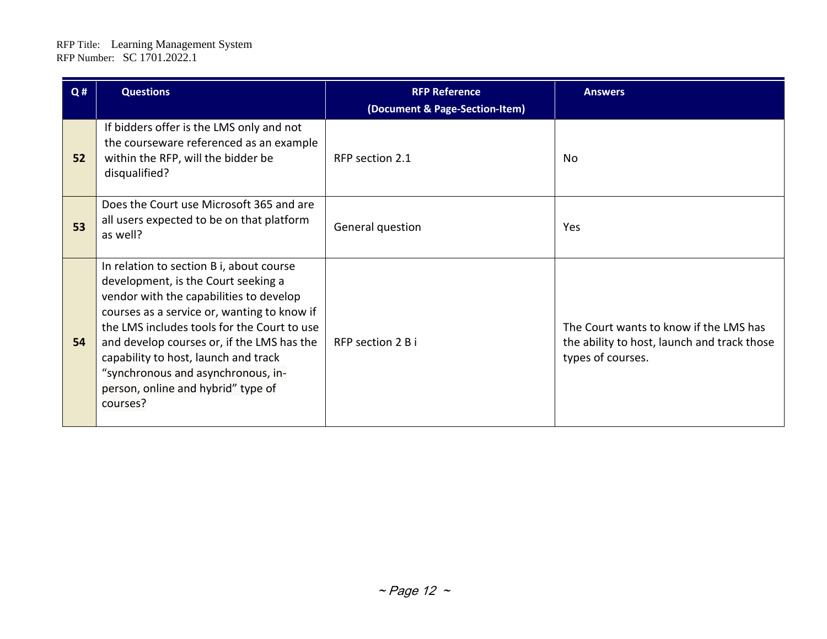| Q# | <b>Questions</b>                                                                                                                                                                                                                                                                                                                                                                                       | <b>RFP Reference</b><br>(Document & Page-Section-Item) | <b>Answers</b>                                                                                             |
|----|--------------------------------------------------------------------------------------------------------------------------------------------------------------------------------------------------------------------------------------------------------------------------------------------------------------------------------------------------------------------------------------------------------|--------------------------------------------------------|------------------------------------------------------------------------------------------------------------|
| 52 | If bidders offer is the LMS only and not<br>the courseware referenced as an example<br>within the RFP, will the bidder be<br>disqualified?                                                                                                                                                                                                                                                             | RFP section 2.1                                        | <b>No</b>                                                                                                  |
| 53 | Does the Court use Microsoft 365 and are<br>all users expected to be on that platform<br>as well?                                                                                                                                                                                                                                                                                                      | General question                                       | Yes                                                                                                        |
| 54 | In relation to section B i, about course<br>development, is the Court seeking a<br>vendor with the capabilities to develop<br>courses as a service or, wanting to know if<br>the LMS includes tools for the Court to use<br>and develop courses or, if the LMS has the<br>capability to host, launch and track<br>"synchronous and asynchronous, in-<br>person, online and hybrid" type of<br>courses? | RFP section 2 B i                                      | The Court wants to know if the LMS has<br>the ability to host, launch and track those<br>types of courses. |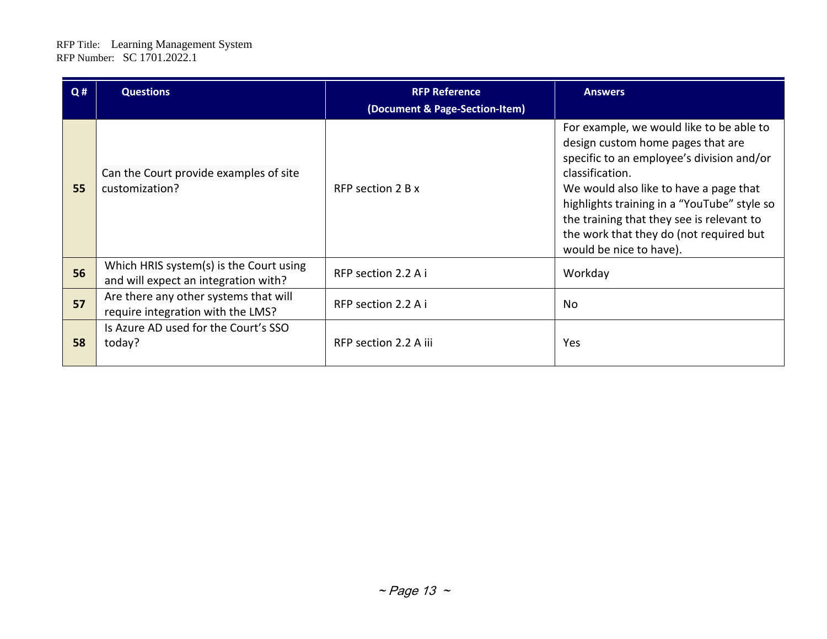| Q# | <b>Questions</b>                                                                | <b>RFP Reference</b><br>(Document & Page-Section-Item) | <b>Answers</b>                                                                                                                                                                                                                                                                                                                                            |
|----|---------------------------------------------------------------------------------|--------------------------------------------------------|-----------------------------------------------------------------------------------------------------------------------------------------------------------------------------------------------------------------------------------------------------------------------------------------------------------------------------------------------------------|
| 55 | Can the Court provide examples of site<br>customization?                        | RFP section 2 B x                                      | For example, we would like to be able to<br>design custom home pages that are<br>specific to an employee's division and/or<br>classification.<br>We would also like to have a page that<br>highlights training in a "YouTube" style so<br>the training that they see is relevant to<br>the work that they do (not required but<br>would be nice to have). |
| 56 | Which HRIS system(s) is the Court using<br>and will expect an integration with? | RFP section 2.2 A i                                    | Workday                                                                                                                                                                                                                                                                                                                                                   |
| 57 | Are there any other systems that will<br>require integration with the LMS?      | RFP section 2.2 A i                                    | No                                                                                                                                                                                                                                                                                                                                                        |
| 58 | Is Azure AD used for the Court's SSO<br>today?                                  | RFP section 2.2 A iii                                  | Yes                                                                                                                                                                                                                                                                                                                                                       |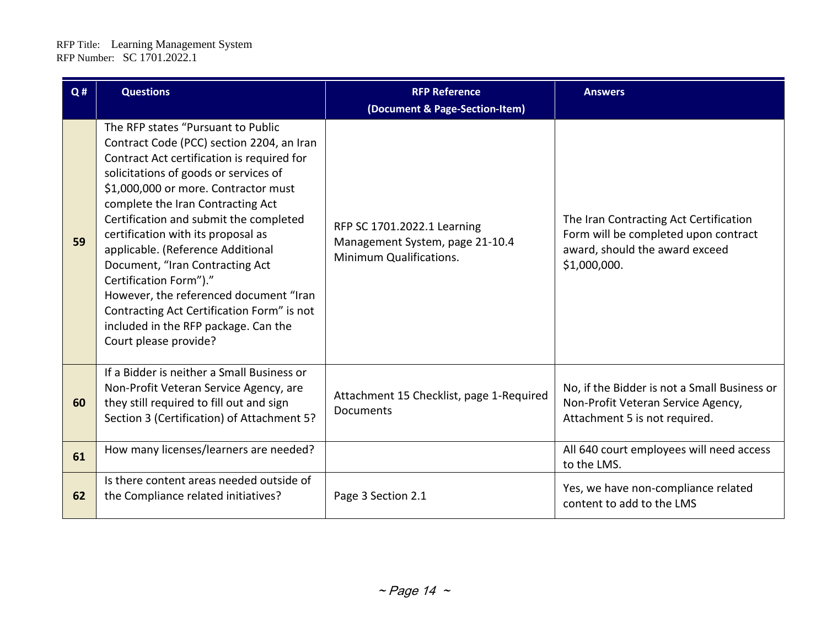| Q# | <b>Questions</b>                                                                                                                                                                                                                                                                                                                                                                                                                                                                                                                                                                               | <b>RFP Reference</b>                                                                      | <b>Answers</b>                                                                                                                   |
|----|------------------------------------------------------------------------------------------------------------------------------------------------------------------------------------------------------------------------------------------------------------------------------------------------------------------------------------------------------------------------------------------------------------------------------------------------------------------------------------------------------------------------------------------------------------------------------------------------|-------------------------------------------------------------------------------------------|----------------------------------------------------------------------------------------------------------------------------------|
|    |                                                                                                                                                                                                                                                                                                                                                                                                                                                                                                                                                                                                | (Document & Page-Section-Item)                                                            |                                                                                                                                  |
| 59 | The RFP states "Pursuant to Public<br>Contract Code (PCC) section 2204, an Iran<br>Contract Act certification is required for<br>solicitations of goods or services of<br>\$1,000,000 or more. Contractor must<br>complete the Iran Contracting Act<br>Certification and submit the completed<br>certification with its proposal as<br>applicable. (Reference Additional<br>Document, "Iran Contracting Act<br>Certification Form")."<br>However, the referenced document "Iran<br>Contracting Act Certification Form" is not<br>included in the RFP package. Can the<br>Court please provide? | RFP SC 1701.2022.1 Learning<br>Management System, page 21-10.4<br>Minimum Qualifications. | The Iran Contracting Act Certification<br>Form will be completed upon contract<br>award, should the award exceed<br>\$1,000,000. |
| 60 | If a Bidder is neither a Small Business or<br>Non-Profit Veteran Service Agency, are<br>they still required to fill out and sign<br>Section 3 (Certification) of Attachment 5?                                                                                                                                                                                                                                                                                                                                                                                                                 | Attachment 15 Checklist, page 1-Required<br>Documents                                     | No, if the Bidder is not a Small Business or<br>Non-Profit Veteran Service Agency,<br>Attachment 5 is not required.              |
| 61 | How many licenses/learners are needed?                                                                                                                                                                                                                                                                                                                                                                                                                                                                                                                                                         |                                                                                           | All 640 court employees will need access<br>to the LMS.                                                                          |
| 62 | Is there content areas needed outside of<br>the Compliance related initiatives?                                                                                                                                                                                                                                                                                                                                                                                                                                                                                                                | Page 3 Section 2.1                                                                        | Yes, we have non-compliance related<br>content to add to the LMS                                                                 |